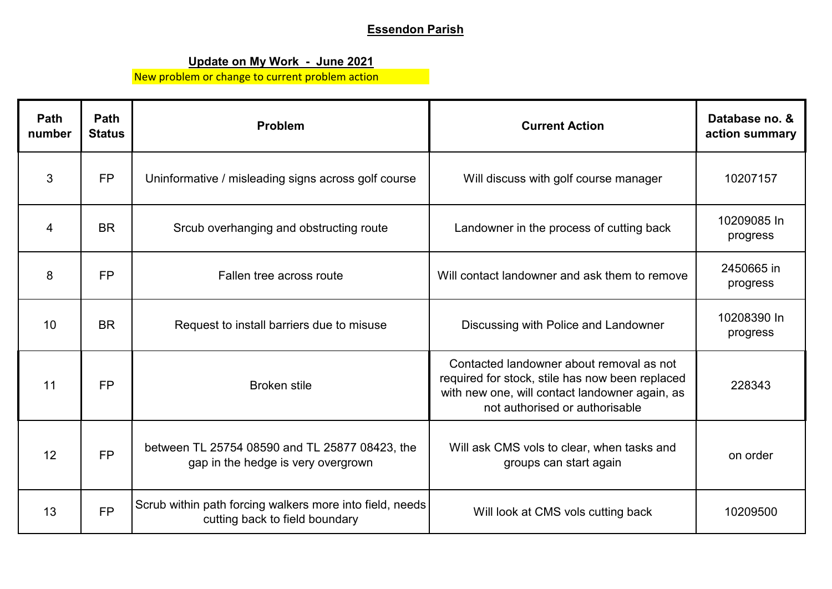## **Essendon Parish**

## **Update on My Work - June 2021**

New problem or change to current problem action

| Path<br>number  | Path<br><b>Status</b> | Problem                                                                                    | <b>Current Action</b>                                                                                                                                                           | Database no. &<br>action summary |
|-----------------|-----------------------|--------------------------------------------------------------------------------------------|---------------------------------------------------------------------------------------------------------------------------------------------------------------------------------|----------------------------------|
| 3               | <b>FP</b>             | Uninformative / misleading signs across golf course                                        | Will discuss with golf course manager                                                                                                                                           | 10207157                         |
| 4               | <b>BR</b>             | Srcub overhanging and obstructing route                                                    | Landowner in the process of cutting back                                                                                                                                        | 10209085 In<br>progress          |
| 8               | <b>FP</b>             | Fallen tree across route                                                                   | Will contact landowner and ask them to remove                                                                                                                                   | 2450665 in<br>progress           |
| 10 <sup>°</sup> | <b>BR</b>             | Request to install barriers due to misuse                                                  | Discussing with Police and Landowner                                                                                                                                            | 10208390 In<br>progress          |
| 11              | <b>FP</b>             | <b>Broken stile</b>                                                                        | Contacted landowner about removal as not<br>required for stock, stile has now been replaced<br>with new one, will contact landowner again, as<br>not authorised or authorisable | 228343                           |
| 12              | <b>FP</b>             | between TL 25754 08590 and TL 25877 08423, the<br>gap in the hedge is very overgrown       | Will ask CMS vols to clear, when tasks and<br>groups can start again                                                                                                            | on order                         |
| 13              | <b>FP</b>             | Scrub within path forcing walkers more into field, needs<br>cutting back to field boundary | Will look at CMS vols cutting back                                                                                                                                              | 10209500                         |